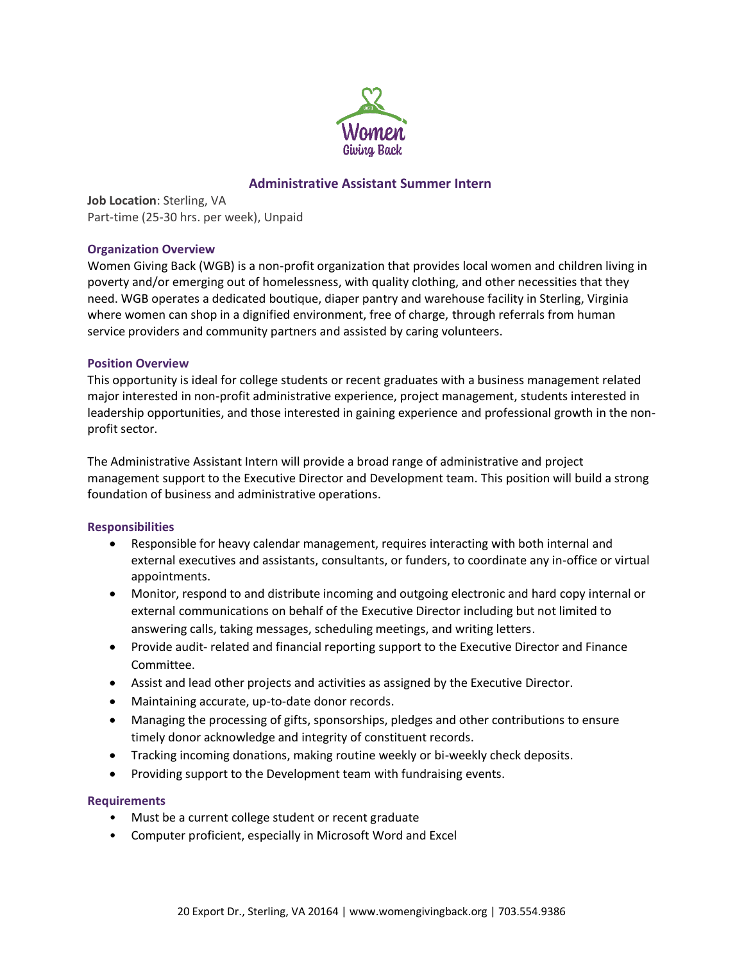

# **Administrative Assistant Summer Intern**

**Job Location**: Sterling, VA Part-time (25-30 hrs. per week), Unpaid

## **Organization Overview**

Women Giving Back (WGB) is a non-profit organization that provides local women and children living in poverty and/or emerging out of homelessness, with quality clothing, and other necessities that they need. WGB operates a dedicated boutique, diaper pantry and warehouse facility in Sterling, Virginia where women can shop in a dignified environment, free of charge, through referrals from human service providers and community partners and assisted by caring volunteers.

### **Position Overview**

This opportunity is ideal for college students or recent graduates with a business management related major interested in non-profit administrative experience, project management, students interested in leadership opportunities, and those interested in gaining experience and professional growth in the nonprofit sector.

The Administrative Assistant Intern will provide a broad range of administrative and project management support to the Executive Director and Development team. This position will build a strong foundation of business and administrative operations.

## **Responsibilities**

- Responsible for heavy calendar management, requires interacting with both internal and external executives and assistants, consultants, or funders, to coordinate any in-office or virtual appointments.
- Monitor, respond to and distribute incoming and outgoing electronic and hard copy internal or external communications on behalf of the Executive Director including but not limited to answering calls, taking messages, scheduling meetings, and writing letters.
- Provide audit- related and financial reporting support to the Executive Director and Finance Committee.
- Assist and lead other projects and activities as assigned by the Executive Director.
- Maintaining accurate, up-to-date donor records.
- Managing the processing of gifts, sponsorships, pledges and other contributions to ensure timely donor acknowledge and integrity of constituent records.
- Tracking incoming donations, making routine weekly or bi-weekly check deposits.
- Providing support to the Development team with fundraising events.

#### **Requirements**

- Must be a current college student or recent graduate
- Computer proficient, especially in Microsoft Word and Excel